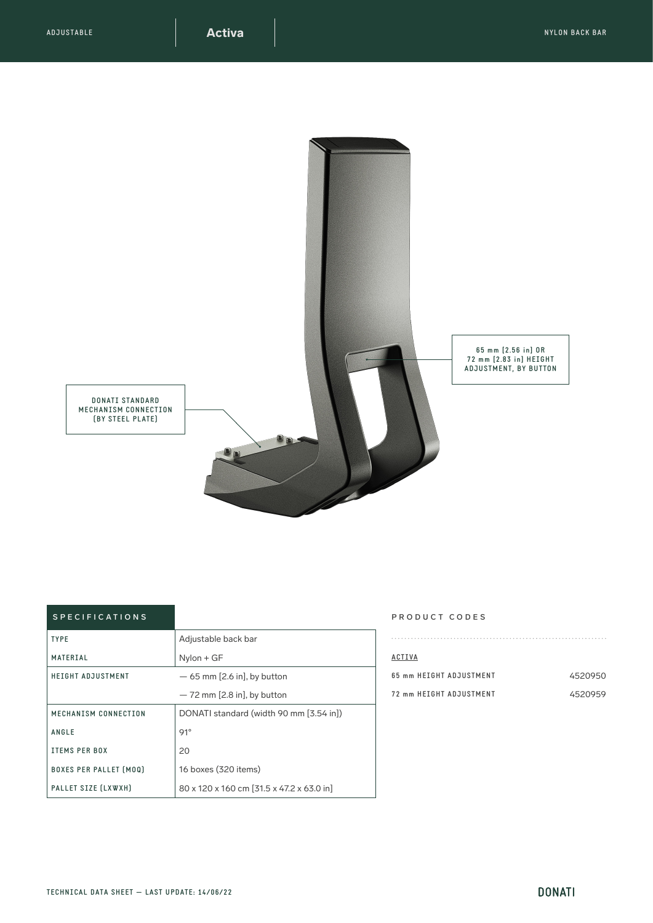

## SPECIFICATIONS

| <b>TYPE</b>                   | Adjustable back bar                       |
|-------------------------------|-------------------------------------------|
| MATERIAL                      | $N$ ylon + GF                             |
| <b>HEIGHT ADJUSTMENT</b>      | $-65$ mm [2.6 in], by button              |
|                               | $-72$ mm [2.8 in], by button              |
| MECHANISM CONNECTION          | DONATI standard (width 90 mm [3.54 in])   |
| ANGLE                         | 91°                                       |
| <b>ITEMS PER BOX</b>          | 20                                        |
| <b>BOXES PER PALLET [MOQ]</b> | 16 boxes (320 items)                      |
| PALLET SIZE (LXWXH)           | 80 x 120 x 160 cm [31.5 x 47.2 x 63.0 in] |

## PRODUCT CODES

| ACTIVA                  |         |
|-------------------------|---------|
| 65 mm HFTGHT ADJUSTMFNT | 4520950 |
| 72 mm HFTGHT ADJUSTMFNT | 4520959 |